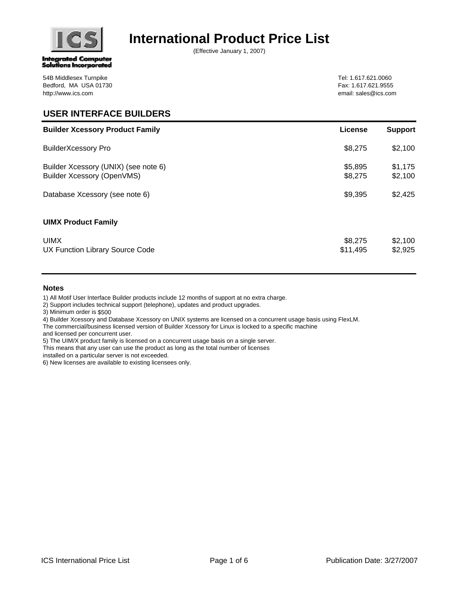

# **International Product Price List**

(Effective January 1, 2007)

Tel: 1.617.621.0060 Fax: 1.617.621.9555 email: sales@ics.com

## **USER INTERFACE BUILDERS**

| <b>Builder Xcessory Product Family</b>                             | <b>License</b>      | <b>Support</b>     |
|--------------------------------------------------------------------|---------------------|--------------------|
| <b>BuilderXcessory Pro</b>                                         | \$8,275             | \$2,100            |
| Builder Xcessory (UNIX) (see note 6)<br>Builder Xcessory (OpenVMS) | \$5,895<br>\$8,275  | \$1,175<br>\$2,100 |
| Database Xcessory (see note 6)                                     | \$9,395             | \$2,425            |
| <b>UIMX Product Family</b>                                         |                     |                    |
| <b>UIMX</b><br>UX Function Library Source Code                     | \$8,275<br>\$11,495 | \$2,100<br>\$2,925 |

### **Notes**

1) All Motif User Interface Builder products include 12 months of support at no extra charge.

2) Support includes technical support (telephone), updates and product upgrades.

3) Minimum order is \$500

4) Builder Xcessory and Database Xcessory on UNIX systems are licensed on a concurrent usage basis using FlexLM.

The commercial/business licensed version of Builder Xcessory for Linux is locked to a specific machine

and licensed per concurrent user.

5) The UIM/X product family is licensed on a concurrent usage basis on a single server.

This means that any user can use the product as long as the total number of licenses

installed on a particular server is not exceeded.

6) New licenses are available to existing licensees only.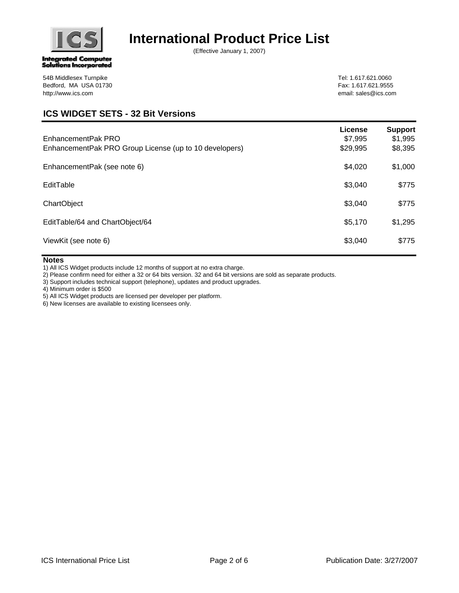

# **International Product Price List**

(Effective January 1, 2007)

Tel: 1.617.621.0060 Fax: 1.617.621.9555 email: sales@ics.com

### 54B Middlesex Turnpike Bedford, MA USA 01730 http://www.ics.com

## **ICS WIDGET SETS - 32 Bit Versions**

| EnhancementPak PRO<br>EnhancementPak PRO Group License (up to 10 developers) | <b>License</b><br>\$7,995<br>\$29,995 | <b>Support</b><br>\$1,995<br>\$8,395 |
|------------------------------------------------------------------------------|---------------------------------------|--------------------------------------|
| EnhancementPak (see note 6)                                                  | \$4,020                               | \$1,000                              |
| EditTable                                                                    | \$3,040                               | \$775                                |
| ChartObject                                                                  | \$3,040                               | \$775                                |
| EditTable/64 and ChartObject/64                                              | \$5,170                               | \$1,295                              |
| ViewKit (see note 6)                                                         | \$3,040                               | \$775                                |

### **Notes**

1) All ICS Widget products include 12 months of support at no extra charge.

2) Please confirm need for either a 32 or 64 bits version. 32 and 64 bit versions are sold as separate products.

3) Support includes technical support (telephone), updates and product upgrades.

4) Minimum order is \$500

5) All ICS Widget products are licensed per developer per platform.

6) New licenses are available to existing licensees only.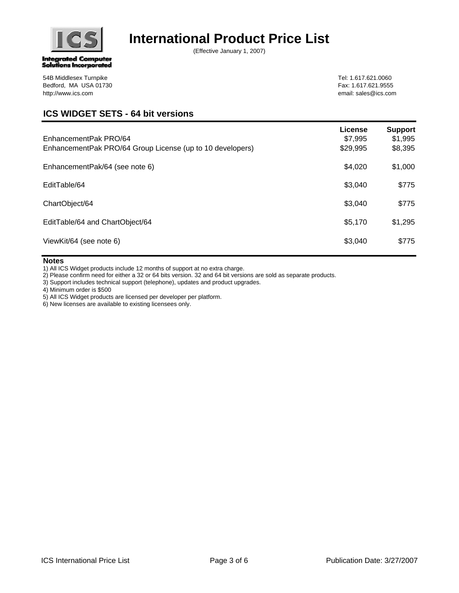

# **International Product Price List**

(Effective January 1, 2007)

Tel: 1.617.621.0060 Fax: 1.617.621.9555 email: sales@ics.com

### 54B Middlesex Turnpike Bedford, MA USA 01730 http://www.ics.com

## **ICS WIDGET SETS - 64 bit versions**

| EnhancementPak PRO/64<br>EnhancementPak PRO/64 Group License (up to 10 developers) | License<br>\$7,995<br>\$29,995 | <b>Support</b><br>\$1,995<br>\$8,395 |
|------------------------------------------------------------------------------------|--------------------------------|--------------------------------------|
| EnhancementPak/64 (see note 6)                                                     | \$4,020                        | \$1,000                              |
| EditTable/64                                                                       | \$3,040                        | \$775                                |
| ChartObject/64                                                                     | \$3,040                        | \$775                                |
| EditTable/64 and ChartObject/64                                                    | \$5,170                        | \$1,295                              |
| ViewKit/64 (see note 6)                                                            | \$3,040                        | \$775                                |

### **Notes**

1) All ICS Widget products include 12 months of support at no extra charge.

2) Please confirm need for either a 32 or 64 bits version. 32 and 64 bit versions are sold as separate products.

3) Support includes technical support (telephone), updates and product upgrades.

4) Minimum order is \$500

5) All ICS Widget products are licensed per developer per platform.

6) New licenses are available to existing licensees only.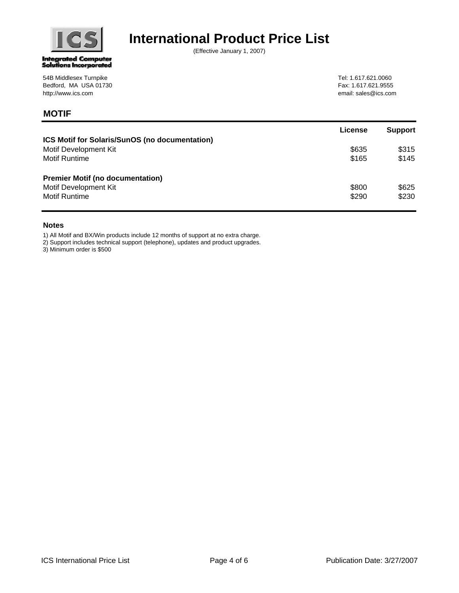

**MOTIF**

# **International Product Price List**

(Effective January 1, 2007)

Tel: 1.617.621.0060 Fax: 1.617.621.9555 email: sales@ics.com

|                                                | License | <b>Support</b> |
|------------------------------------------------|---------|----------------|
| ICS Motif for Solaris/SunOS (no documentation) |         |                |
| Motif Development Kit                          | \$635   | \$315          |
| <b>Motif Runtime</b>                           | \$165   | \$145          |
| <b>Premier Motif (no documentation)</b>        |         |                |
| Motif Development Kit                          | \$800   | \$625          |
| <b>Motif Runtime</b>                           | \$290   | \$230          |

#### **Notes**

1) All Motif and BX/Win products include 12 months of support at no extra charge.

2) Support includes technical support (telephone), updates and product upgrades.

3) Minimum order is \$500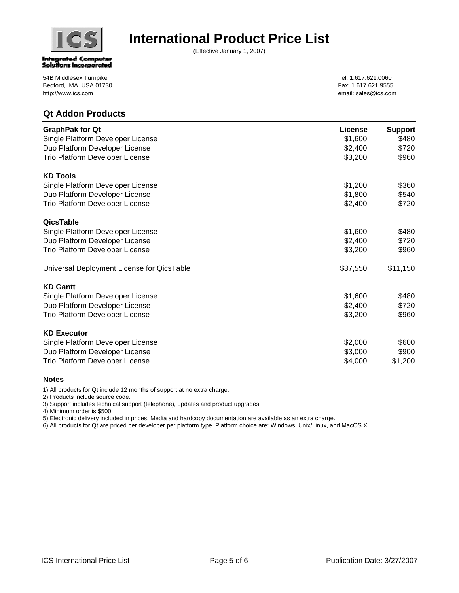

## **International Product Price List**

(Effective January 1, 2007)

Tel: 1.617.621.0060 Fax: 1.617.621.9555 email: sales@ics.com

| <b>Qt Addon Products</b>                   |          |                |
|--------------------------------------------|----------|----------------|
| <b>GraphPak for Qt</b>                     | License  | <b>Support</b> |
| Single Platform Developer License          | \$1,600  | \$480          |
| Duo Platform Developer License             | \$2,400  | \$720          |
| Trio Platform Developer License            | \$3,200  | \$960          |
| <b>KD Tools</b>                            |          |                |
| Single Platform Developer License          | \$1,200  | \$360          |
| Duo Platform Developer License             | \$1,800  | \$540          |
| Trio Platform Developer License            | \$2,400  | \$720          |
| QicsTable                                  |          |                |
| Single Platform Developer License          | \$1,600  | \$480          |
| Duo Platform Developer License             | \$2,400  | \$720          |
| Trio Platform Developer License            | \$3,200  | \$960          |
| Universal Deployment License for QicsTable | \$37,550 | \$11,150       |
| <b>KD Gantt</b>                            |          |                |
| Single Platform Developer License          | \$1,600  | \$480          |
| Duo Platform Developer License             | \$2,400  | \$720          |
| Trio Platform Developer License            | \$3,200  | \$960          |
| <b>KD Executor</b>                         |          |                |
| Single Platform Developer License          | \$2,000  | \$600          |
| Duo Platform Developer License             | \$3,000  | \$900          |
| Trio Platform Developer License            | \$4,000  | \$1,200        |

### **Notes**

1) All products for Qt include 12 months of support at no extra charge.

2) Products include source code.

3) Support includes technical support (telephone), updates and product upgrades.

4) Minimum order is \$500

5) Electronic delivery included in prices. Media and hardcopy documentation are available as an extra charge.

6) All products for Qt are priced per developer per platform type. Platform choice are: Windows, Unix/Linux, and MacOS X.